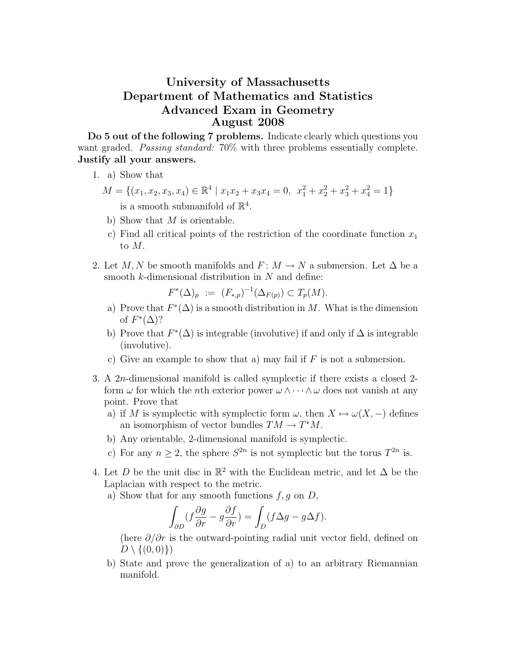## University of Massachusetts Department of Mathematics and Statistics Advanced Exam in Geometry August 2008

Do 5 out of the following 7 problems. Indicate clearly which questions you want graded. *Passing standard:* 70% with three problems essentially complete. Justify all your answers.

- 1. a) Show that
	- $M = \{ (x_1, x_2, x_3, x_4) \in \mathbb{R}^4 \mid x_1x_2 + x_3x_4 = 0, \ x_1^2 + x_2^2 + x_3^2 + x_4^2 = 1 \}$ is a smooth submanifold of  $\mathbb{R}^4$ .
	- b) Show that  $M$  is orientable.
	- c) Find all critical points of the restriction of the coordinate function  $x_1$ to M.
- 2. Let M, N be smooth manifolds and  $F: M \to N$  a submersion. Let  $\Delta$  be a smooth  $k$ -dimensional distribution in  $N$  and define:

$$
F^*(\Delta)_p := (F_{*,p})^{-1}(\Delta_{F(p)}) \subset T_p(M).
$$

- a) Prove that  $F^*(\Delta)$  is a smooth distribution in M. What is the dimension of  $F^*(\Delta)$ ?
- b) Prove that  $F^*(\Delta)$  is integrable (involutive) if and only if  $\Delta$  is integrable (involutive).
- c) Give an example to show that a) may fail if  $F$  is not a submersion.
- 3. A 2n-dimensional manifold is called symplectic if there exists a closed 2 form  $\omega$  for which the *n*th exterior power  $\omega \wedge \cdots \wedge \omega$  does not vanish at any point. Prove that
	- a) if M is symplectic with symplectic form  $\omega$ , then  $X \mapsto \omega(X, -)$  defines an isomorphism of vector bundles  $TM \to T^*M$ .
	- b) Any orientable, 2-dimensional manifold is symplectic.
	- c) For any  $n \geq 2$ , the sphere  $S^{2n}$  is not symplectic but the torus  $T^{2n}$  is.
- 4. Let D be the unit disc in  $\mathbb{R}^2$  with the Euclidean metric, and let  $\Delta$  be the Laplacian with respect to the metric.
	- a) Show that for any smooth functions  $f, g$  on  $D$ ,

$$
\int_{\partial D} (f \frac{\partial g}{\partial r} - g \frac{\partial f}{\partial r}) = \int_{D} (f \Delta g - g \Delta f).
$$

(here  $\partial/\partial r$  is the outward-pointing radial unit vector field, defined on  $D \setminus \{(0, 0)\}\$ 

b) State and prove the generalization of a) to an arbitrary Riemannian manifold.